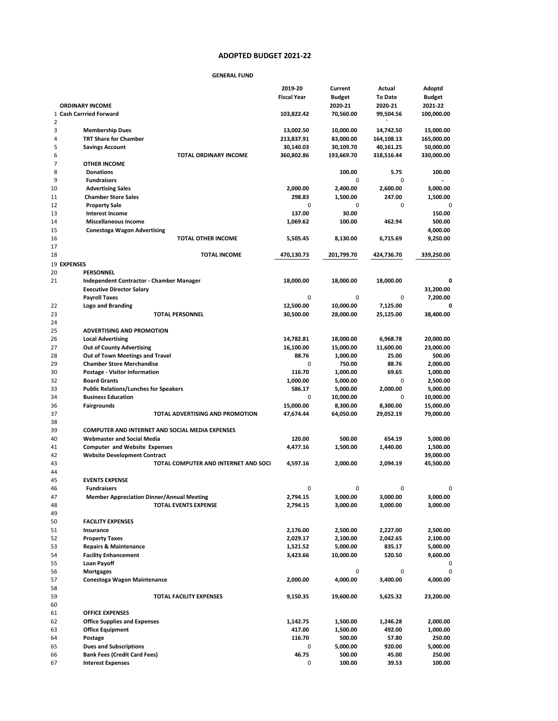## **2021-22 Proposed Budget ADOPTED BUDGET 2021-22**

## **GENERAL FUND**

|                |                                                        | 2019-20            | Current       | Actual         | Adoptd        |
|----------------|--------------------------------------------------------|--------------------|---------------|----------------|---------------|
|                |                                                        | <b>Fiscal Year</b> | <b>Budget</b> | <b>To Date</b> | <b>Budget</b> |
|                | <b>ORDINARY INCOME</b>                                 |                    | 2020-21       | 2020-21        | 2021-22       |
| 2              | 1 Cash Carrried Forward                                | 103,822.42         | 70,560.00     | 99,504.56      | 100,000.00    |
| 3              | <b>Membership Dues</b>                                 | 13,002.50          | 10,000.00     | 14,742.50      | 15,000.00     |
| $\overline{4}$ | <b>TRT Share for Chamber</b>                           | 213,837.91         | 83,000.00     | 164,108.13     | 165,000.00    |
| 5              | <b>Savings Account</b>                                 | 30,140.03          | 30,109.70     | 40,161.25      | 50,000.00     |
| 6              | <b>TOTAL ORDINARY INCOME</b>                           | 360,802.86         | 193,669.70    | 318,516.44     | 330,000.00    |
| 7              | <b>OTHER INCOME</b>                                    |                    |               |                |               |
| 8              | <b>Donations</b>                                       |                    | 100.00        | 5.75           | 100.00        |
| 9              | <b>Fundraisers</b>                                     |                    | 0             | 0              |               |
| 10             | <b>Advertising Sales</b>                               | 2,000.00           | 2,400.00      | 2,600.00       | 3,000.00      |
| 11             | <b>Chamber Store Sales</b>                             | 298.83             | 1,500.00      | 247.00         | 1,500.00      |
| 12             | <b>Property Sale</b>                                   | 0                  | 0             | 0              |               |
| 13             | <b>Interest Income</b>                                 | 137.00             | 30.00         |                | 150.00        |
| 14             | <b>Miscellaneous Income</b>                            | 1,069.62           | 100.00        | 462.94         | 500.00        |
| 15             | <b>Conestoga Wagon Advertising</b>                     |                    |               |                | 4,000.00      |
| 16             | <b>TOTAL OTHER INCOME</b>                              | 5,505.45           | 8,130.00      | 6,715.69       | 9,250.00      |
| 17             |                                                        |                    |               |                |               |
| 18             | <b>TOTAL INCOME</b>                                    | 470,130.73         | 201,799.70    | 424,736.70     | 339,250.00    |
|                | 19 EXPENSES                                            |                    |               |                |               |
| 20             | <b>PERSONNEL</b>                                       |                    |               |                |               |
| 21             | Independent Contractor - Chamber Manager               | 18,000.00          | 18,000.00     | 18,000.00      | 0             |
|                | <b>Executive Director Salary</b>                       |                    |               |                | 31,200.00     |
|                | <b>Payroll Taxes</b>                                   | 0                  | 0             | 0              | 7,200.00      |
| 22             | <b>Logo and Branding</b>                               | 12,500.00          | 10,000.00     | 7,125.00       | 0             |
| 23             | <b>TOTAL PERSONNEL</b>                                 | 30,500.00          | 28,000.00     | 25,125.00      | 38,400.00     |
| 24             |                                                        |                    |               |                |               |
| 25             | <b>ADVERTISING AND PROMOTION</b>                       |                    |               |                |               |
| 26             | <b>Local Advertising</b>                               | 14,782.81          | 18,000.00     | 6,968.78       | 20,000.00     |
| 27             | <b>Out of County Advertising</b>                       | 16,100.00          | 15,000.00     | 11,600.00      | 23,000.00     |
| 28             | Out of Town Meetings and Travel                        | 88.76              | 1,000.00      | 25.00          | 500.00        |
| 29             | <b>Chamber Store Merchandise</b>                       | 0                  | 750.00        | 88.76          | 2,000.00      |
| 30             | Postage - Visitor Information                          | 116.70             | 1,000.00      | 69.65          | 1,000.00      |
| 32             | <b>Board Grants</b>                                    | 1,000.00           | 5,000.00      | 0              | 2,500.00      |
| 33             | <b>Public Relations/Lunches for Speakers</b>           | 586.17             | 5,000.00      | 2,000.00       | 5,000.00      |
| 34             | <b>Business Education</b>                              | 0                  |               | 0              | 10,000.00     |
|                |                                                        |                    | 10,000.00     |                |               |
| 36             | <b>Fairgrounds</b>                                     | 15,000.00          | 8,300.00      | 8,300.00       | 15,000.00     |
| 37             | TOTAL ADVERTISING AND PROMOTION                        | 47,674.44          | 64,050.00     | 29,052.19      | 79,000.00     |
| 38             |                                                        |                    |               |                |               |
| 39             | <b>COMPUTER AND INTERNET AND SOCIAL MEDIA EXPENSES</b> |                    |               |                |               |
| 40             | <b>Webmaster and Social Media</b>                      | 120.00             | 500.00        | 654.19         | 5,000.00      |
| 41             | <b>Computer and Website Expenses</b>                   | 4,477.16           | 1,500.00      | 1,440.00       | 1,500.00      |
| 42             | <b>Website Development Contract</b>                    |                    |               |                | 39,000.00     |
| 43             | TOTAL COMPUTER AND INTERNET AND SOCI                   | 4,597.16           | 2,000.00      | 2,094.19       | 45,500.00     |
| 44             |                                                        |                    |               |                |               |
| 45             | <b>EVENTS EXPENSE</b>                                  |                    |               |                |               |
| 46             | <b>Fundraisers</b>                                     | 0                  | 0             | 0              | 0             |
| 47             | <b>Member Appreciation Dinner/Annual Meeting</b>       | 2,794.15           | 3,000.00      | 3,000.00       | 3,000.00      |
| 48             | <b>TOTAL EVENTS EXPENSE</b>                            | 2,794.15           | 3,000.00      | 3,000.00       | 3,000.00      |
| 49             |                                                        |                    |               |                |               |
| 50             | <b>FACILITY EXPENSES</b>                               |                    |               |                |               |
| 51             | Insurance                                              | 2,176.00           | 2,500.00      | 2,227.00       | 2,500.00      |
| 52             | <b>Property Taxes</b>                                  | 2,029.17           | 2,100.00      | 2,042.65       | 2,100.00      |
| 53             | <b>Repairs &amp; Maintenance</b>                       | 1,521.52           | 5,000.00      | 835.17         | 5,000.00      |
| 54             | <b>Facility Enhancement</b>                            | 3,423.66           | 10,000.00     | 520.50         | 9,600.00      |
| 55             | <b>Loan Payoff</b>                                     |                    |               |                | 0             |
| 56             | <b>Mortgages</b>                                       |                    | 0             | 0              |               |
| 57             | <b>Conestoga Wagon Maintenance</b>                     | 2,000.00           | 4,000.00      | 3,400.00       | 4,000.00      |
| 58             |                                                        |                    |               |                |               |
| 59             | <b>TOTAL FACILITY EXPENSES</b>                         | 9,150.35           | 19,600.00     | 5,625.32       | 23,200.00     |
| 60             |                                                        |                    |               |                |               |
| 61             | <b>OFFICE EXPENSES</b>                                 |                    |               |                |               |
| 62             | <b>Office Supplies and Expenses</b>                    | 1,142.75           | 1,500.00      | 1,246.28       | 2,000.00      |
| 63             | <b>Office Equipment</b>                                | 417.00             | 1,500.00      | 492.00         | 1,000.00      |
| 64             | Postage                                                | 116.70             | 500.00        | 57.80          | 250.00        |
|                |                                                        | 0                  |               |                | 5,000.00      |
| 65             | <b>Dues and Subscriptions</b>                          |                    | 5,000.00      | 920.00         |               |
| 66             | <b>Bank Fees (Credit Card Fees)</b>                    | 46.75              | 500.00        | 45.00          | 250.00        |
| 67             | <b>Interest Expenses</b>                               | 0                  | 100.00        | 39.53          | 100.00        |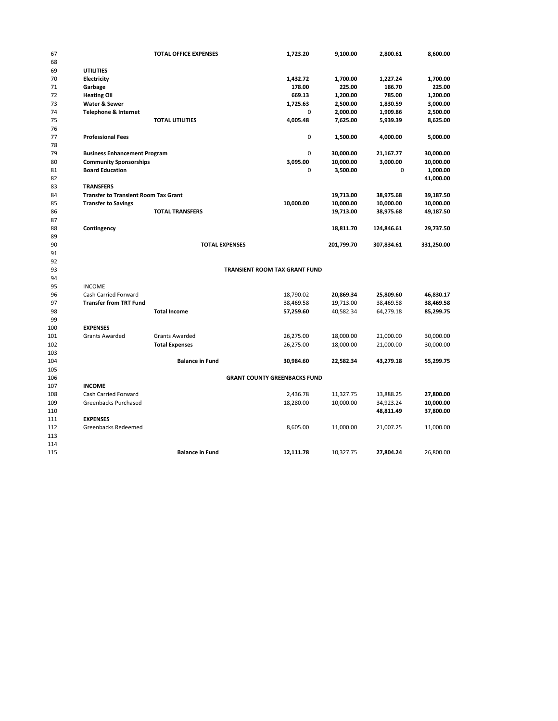| 67  |                                             | <b>TOTAL OFFICE EXPENSES</b> | 1,723.20                             | 9,100.00   | 2,800.61   | 8,600.00   |
|-----|---------------------------------------------|------------------------------|--------------------------------------|------------|------------|------------|
| 68  |                                             |                              |                                      |            |            |            |
| 69  | <b>UTILITIES</b>                            |                              |                                      |            |            |            |
| 70  | Electricity                                 |                              | 1,432.72                             | 1,700.00   | 1,227.24   | 1,700.00   |
| 71  | Garbage                                     |                              | 178.00                               | 225.00     | 186.70     | 225.00     |
| 72  | <b>Heating Oil</b>                          |                              | 669.13                               | 1,200.00   | 785.00     | 1,200.00   |
| 73  | Water & Sewer                               |                              | 1,725.63                             | 2,500.00   | 1,830.59   | 3,000.00   |
| 74  | <b>Telephone &amp; Internet</b>             |                              | 0                                    | 2,000.00   | 1,909.86   | 2,500.00   |
| 75  |                                             | <b>TOTAL UTILITIES</b>       | 4,005.48                             | 7,625.00   | 5,939.39   | 8,625.00   |
| 76  |                                             |                              |                                      |            |            |            |
| 77  | <b>Professional Fees</b>                    |                              | 0                                    | 1,500.00   | 4,000.00   | 5,000.00   |
| 78  |                                             |                              |                                      |            |            |            |
| 79  | <b>Business Enhancement Program</b>         |                              | 0                                    | 30,000.00  | 21,167.77  | 30,000.00  |
| 80  | <b>Community Sponsorships</b>               |                              | 3,095.00                             | 10,000.00  | 3,000.00   | 10,000.00  |
| 81  | <b>Board Education</b>                      |                              | 0                                    | 3,500.00   | 0          | 1,000.00   |
| 82  |                                             |                              |                                      |            |            | 41,000.00  |
| 83  | <b>TRANSFERS</b>                            |                              |                                      |            |            |            |
| 84  | <b>Transfer to Transient Room Tax Grant</b> |                              |                                      | 19,713.00  | 38,975.68  | 39,187.50  |
| 85  | <b>Transfer to Savings</b>                  |                              | 10,000.00                            | 10,000.00  | 10,000.00  | 10,000.00  |
| 86  |                                             | <b>TOTAL TRANSFERS</b>       |                                      | 19,713.00  | 38,975.68  | 49,187.50  |
| 87  |                                             |                              |                                      |            |            |            |
| 88  | Contingency                                 |                              |                                      | 18,811.70  | 124,846.61 | 29,737.50  |
| 89  |                                             |                              |                                      |            |            |            |
| 90  |                                             | <b>TOTAL EXPENSES</b>        |                                      | 201,799.70 | 307,834.61 | 331,250.00 |
| 91  |                                             |                              |                                      |            |            |            |
| 92  |                                             |                              |                                      |            |            |            |
| 93  |                                             |                              | <b>TRANSIENT ROOM TAX GRANT FUND</b> |            |            |            |
| 94  |                                             |                              |                                      |            |            |            |
| 95  | <b>INCOME</b>                               |                              |                                      |            |            |            |
| 96  | Cash Carried Forward                        |                              | 18,790.02                            | 20,869.34  | 25,809.60  | 46,830.17  |
| 97  | <b>Transfer from TRT Fund</b>               |                              | 38,469.58                            | 19,713.00  | 38,469.58  | 38,469.58  |
| 98  |                                             | <b>Total Income</b>          | 57,259.60                            | 40,582.34  | 64,279.18  | 85,299.75  |
| 99  |                                             |                              |                                      |            |            |            |
| 100 | <b>EXPENSES</b>                             |                              |                                      |            |            |            |
| 101 | <b>Grants Awarded</b>                       | <b>Grants Awarded</b>        | 26,275.00                            | 18,000.00  | 21,000.00  | 30,000.00  |
| 102 |                                             | <b>Total Expenses</b>        | 26,275.00                            | 18,000.00  | 21,000.00  | 30,000.00  |
| 103 |                                             |                              |                                      |            |            |            |
| 104 |                                             | <b>Balance in Fund</b>       | 30,984.60                            | 22,582.34  | 43,279.18  | 55,299.75  |
| 105 |                                             |                              |                                      |            |            |            |
| 106 |                                             |                              | <b>GRANT COUNTY GREENBACKS FUND</b>  |            |            |            |
| 107 | <b>INCOME</b>                               |                              |                                      |            |            |            |
| 108 | Cash Carried Forward                        |                              | 2,436.78                             | 11,327.75  | 13,888.25  | 27,800.00  |
| 109 | Greenbacks Purchased                        |                              | 18,280.00                            | 10,000.00  | 34,923.24  | 10,000.00  |
| 110 |                                             |                              |                                      |            | 48,811.49  | 37,800.00  |
| 111 | <b>EXPENSES</b>                             |                              |                                      |            |            |            |
| 112 | Greenbacks Redeemed                         |                              | 8,605.00                             | 11,000.00  | 21,007.25  | 11,000.00  |
| 113 |                                             |                              |                                      |            |            |            |
| 114 |                                             |                              |                                      |            |            |            |
| 115 |                                             | <b>Balance in Fund</b>       | 12,111.78                            | 10,327.75  | 27,804.24  | 26,800.00  |
|     |                                             |                              |                                      |            |            |            |